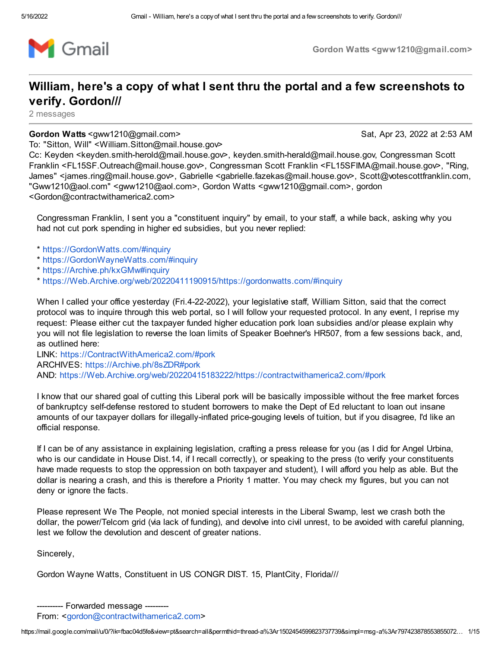

Gordon Watts <gww1210@gmail.com>

## William, here's a copy of what I sent thru the portal and a few screenshots to verify. Gordon///

2 messages

Gordon Watts <gww1210@gmail.com> Sat, Apr 23, 2022 at 2:53 AM

To: "Sitton, Will" <William.Sitton@mail.house.gov>

Cc: Keyden <keyden.smith-herold@mail.house.gov>, keyden.smith-herald@mail.house.gov, Congressman Scott Franklin <FL15SF.Outreach@mail.house.gov>, Congressman Scott Franklin <FL15SFIMA@mail.house.gov>, "Ring, James" <james.ring@mail.house.gov>, Gabrielle <gabrielle.fazekas@mail.house.gov>, Scott@votescottfranklin.com, "Gww1210@aol.com" <gww1210@aol.com>, Gordon Watts <gww1210@gmail.com>, gordon <Gordon@contractwithamerica2.com>

Congressman Franklin, I sent you a "constituent inquiry" by email, to your staff, a while back, asking why you had not cut pork spending in higher ed subsidies, but you never replied:

- \* [https://GordonWatts.com/#inquiry](https://gordonwatts.com/#inquiry)
- \* [https://GordonWayneWatts.com/#inquiry](https://gordonwaynewatts.com/#inquiry)
- \* [https://Archive.ph/kxGMw#inquiry](https://archive.ph/kxGMw#inquiry)
- \* [https://Web.Archive.org/web/20220411190915/https://gordonwatts.com/#inquiry](https://web.archive.org/web/20220411190915/https://gordonwatts.com/#inquiry)

When I called your office yesterday (Fri.4-22-2022), your legislative staff, William Sitton, said that the correct protocol was to inquire through this web portal, so I will follow your requested protocol. In any event, I reprise my request: Please either cut the taxpayer funded higher education pork loan subsidies and/or please explain why you will not file legislation to reverse the loan limits of Speaker Boehner's HR507, from a few sessions back, and, as outlined here:

LINK: [https://ContractWithAmerica2.com/#pork](https://contractwithamerica2.com/#pork) ARCHIVES: [https://Archive.ph/8sZDR#pork](https://archive.ph/8sZDR#pork) AND: [https://Web.Archive.org/web/20220415183222/https://contractwithamerica2.com/#pork](https://web.archive.org/web/20220415183222/https://contractwithamerica2.com/#pork)

I know that our shared goal of cutting this Liberal pork will be basically impossible without the free market forces of bankruptcy self-defense restored to student borrowers to make the Dept of Ed reluctant to loan out insane amounts of our taxpayer dollars for illegally-inflated price-gouging levels of tuition, but if you disagree, I'd like an official response.

If I can be of any assistance in explaining legislation, crafting a press release for you (as I did for Angel Urbina, who is our candidate in House Dist.14, if I recall correctly), or speaking to the press (to verify your constituents have made requests to stop the oppression on both taxpayer and student), I will afford you help as able. But the dollar is nearing a crash, and this is therefore a Priority 1 matter. You may check my figures, but you can not deny or ignore the facts.

Please represent We The People, not monied special interests in the Liberal Swamp, lest we crash both the dollar, the power/Telcom grid (via lack of funding), and devolve into civil unrest, to be avoided with careful planning, lest we follow the devolution and descent of greater nations.

Sincerely,

Gordon Wayne Watts, Constituent in US CONGR DIST. 15, PlantCity, Florida///

From: <[gordon@contractwithamerica2.com](mailto:gordon@contractwithamerica2.com)>

<sup>----------</sup> Forwarded message ---------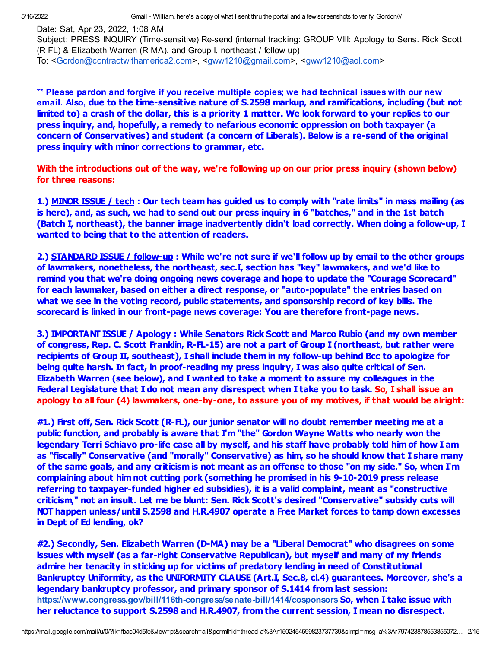Date: Sat, Apr 23, 2022, 1:08 AM

Subject: PRESS INQUIRY (Time-sensitive) Re-send (internal tracking: GROUP VIII: Apology to Sens. Rick Scott (R-FL) & Elizabeth Warren (R-MA), and Group I, northeast / follow-up)

To: <[Gordon@contractwithamerica2.com>](mailto:Gordon@contractwithamerica2.com), <[gww1210@gmail.com>](mailto:gww1210@gmail.com), <[gww1210@aol.com>](mailto:gww1210@aol.com)

\*\* Please pardon and forgive if you receive multiple copies; we had technical issues with our new email. Also, due to the time-sensitive nature of S.2598 markup, and ramifications, including (but not limited to) a crash of the dollar, this is a priority 1 matter. We look forward to your replies to our press inquiry, and, hopefully, a remedy to nefarious economic oppression on both taxpayer (a concern of Conservatives) and student (a concern of Liberals). Below is a re-send of the original press inquiry with minor corrections to grammar, etc.

With the introductions out of the way, we're following up on our prior press inquiry (shown below) for three reasons:

1.) MINOR ISSUE / tech : Our tech team has guided us to comply with "rate limits" in mass mailing (as is here), and, as such, we had to send out our press inquiry in 6 "batches," and in the 1st batch (Batch I, northeast), the banner image inadvertently didn't load correctly. When doing a follow-up, I wanted to being that to the attention of readers.

2.) STANDARD ISSUE / follow-up : While we're not sure if we'll follow up by email to the other groups of lawmakers, nonetheless, the northeast, sec.I, section has "key" lawmakers, and we'd like to remind you that we're doing ongoing news coverage and hope to update the "Courage Scorecard" for each lawmaker, based on either a direct response, or "auto-populate" the entries based on what we see in the voting record, public statements, and sponsorship record of key bills. The scorecard is linked in our front-page news coverage: You are therefore front-page news.

3.) IMPORTANT ISSUE / Apology : While Senators Rick Scott and Marco Rubio (and my own member of congress, Rep. C. Scott Franklin, R-FL-15) are not a part of Group I (northeast, but rather were recipients of Group II, southeast), I shall include them in my follow-up behind Bcc to apologize for being quite harsh. In fact, in proof-reading my press inquiry, I was also quite critical of Sen. Elizabeth Warren (see below), and I wanted to take a moment to assure my colleagues in the Federal Legislature that I do not mean any disrespect when I take you to task. So, I shall issue an apology to all four (4) lawmakers, one-by-one, to assure you of my motives, if that would be alright:

#1.) First off, Sen. Rick Scott (R-FL), our junior senator will no doubt remember meeting me at a public function, and probably is aware that I'm "the" Gordon Wayne Watts who nearly won the legendary Terri Schiavo pro-life case all by myself, and his staff have probably told him of how I am as "fiscally" Conservative (and "morally" Conservative) as him, so he should know that I share many of the same goals, and any criticism is not meant as an offense to those "on my side." So, when I'm complaining about him not cutting pork (something he promised in his 9-10-2019 press release referring to taxpayer-funded higher ed subsidies), it is a valid complaint, meant as "constructive criticism," not an insult. Let me be blunt: Sen. Rick Scott's desired "Conservative" subsidy cuts will NOT happen unless/until S.2598 and H.R.4907 operate a Free Market forces to tamp down excesses in Dept of Ed lending, ok?

#2.) Secondly, Sen. Elizabeth Warren (D-MA) may be a "Liberal Democrat" who disagrees on some issues with myself (as a far-right Conservative Republican), but myself and many of my friends admire her tenacity in sticking up for victims of predatory lending in need of Constitutional Bankruptcy Uniformity, as the UNIFORMITY CLAUSE (Art.I, Sec.8, cl.4) guarantees. Moreover, she's a legendary bankruptcy professor, and primary sponsor of S.1414 from last session: <https://www.congress.gov/bill/116th-congress/senate-bill/1414/cosponsors> So, when I take issue with her reluctance to support S.2598 and H.R.4907, from the current session, I mean no disrespect.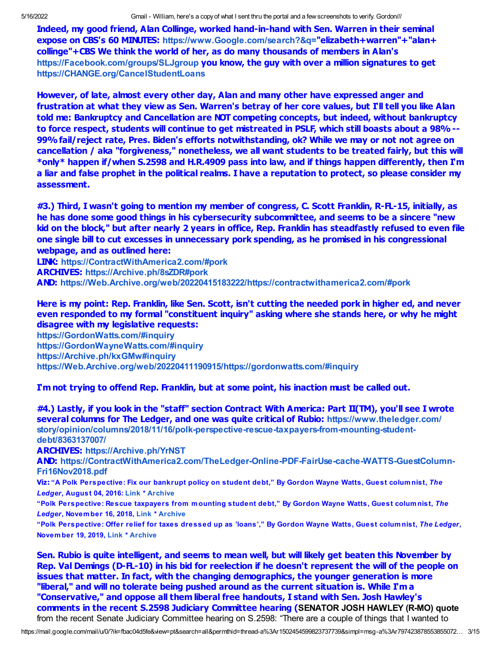Indeed, my good friend, Alan Collinge, worked hand-in-hand with Sen. Warren in their seminal expose on CBS's 60 MINUTES: [https://www.Google.com/search?&q=](https://www.google.com/search?&q=)"elizabeth+warren"+"alan+ collinge"+CBS We think the world of her, as do many thousands of members in Alan's [https://Facebook.com/groups/SLJgroup](https://facebook.com/groups/SLJgroup) you know, the guy with over a million signatures to get [https://CHANGE.org/CancelStudentLoans](https://change.org/CancelStudentLoans)

However, of late, almost every other day, Alan and many other have expressed anger and frustration at what they view as Sen. Warren's betray of her core values, but I'll tell you like Alan told me: Bankruptcy and Cancellation are NOT competing concepts, but indeed, without bankruptcy to force respect, students will continue to get mistreated in PSLF, which still boasts about a 98%-- 99% fail/reject rate, Pres. Biden's efforts notwithstanding, ok? While we may or not not agree on cancellation / aka "forgiveness," nonetheless, we all want students to be treated fairly, but this will \*only\* happen if/when S.2598 and H.R.4909 pass into law, and if things happen differently, then I'm a liar and false prophet in the political realms. I have a reputation to protect, so please consider my assessment.

#3.) Third, I wasn't going to mention my member of congress, C. Scott Franklin, R-FL-15, initially, as he has done some good things in his cybersecurity subcommittee, and seems to be a sincere "new kid on the block," but after nearly 2 years in office, Rep. Franklin has steadfastly refused to even file one single bill to cut excesses in unnecessary pork spending, as he promised in his congressional webpage, and as outlined here:

LINK: [https://ContractWithAmerica2.com/#pork](https://contractwithamerica2.com/#pork) ARCHIVES: [https://Archive.ph/8sZDR#pork](https://archive.ph/8sZDR#pork) AND: [https://Web.Archive.org/web/20220415183222/https://contractwithamerica2.com/#pork](https://web.archive.org/web/20220415183222/https://contractwithamerica2.com/#pork)

Here is my point: Rep. Franklin, like Sen. Scott, isn't cutting the needed pork in higher ed, and never even responded to my formal "constituent inquiry" asking where she stands here, or why he might disagree with my legislative requests:

[https://GordonWatts.com/#inquiry](https://gordonwatts.com/#inquiry) [https://GordonWayneWatts.com/#inquiry](https://gordonwaynewatts.com/#inquiry) [https://Archive.ph/kxGMw#inquiry](https://archive.ph/kxGMw#inquiry) [https://Web.Archive.org/web/20220411190915/https://gordonwatts.com/#inquiry](https://web.archive.org/web/20220411190915/https://gordonwatts.com/#inquiry)

I'm not trying to offend Rep. Franklin, but at some point, his inaction must be called out.

#4.) Lastly, if you look in the "staff" section Contract With America: Part II(TM), you'll see I wrote several columns for The Ledger, and one was quite critical of Rubio: https://www.theledger.com/ [story/opinion/columns/2018/11/16/polk-perspective-rescue-taxpayers-from-mounting-student](https://www.theledger.com/story/opinion/columns/2018/11/16/polk-perspective-rescue-taxpayers-from-mounting-student-debt/8363137007/)debt/8363137007/

ARCHIVES: [https://Archive.ph/YrNST](https://archive.ph/YrNST)

AND: [https://ContractWithAmerica2.com/TheLedger-Online-PDF-FairUse-cache-WATTS-GuestColumn-](https://contractwithamerica2.com/TheLedger-Online-PDF-FairUse-cache-WATTS-GuestColumn-Fri16Nov2018.pdf)Fri16Nov2018.pdf

Viz: "A Polk Perspective: Fix our bankrupt policy on student debt," By Gordon Wayne Watts, Guest columnist, The Ledger, August 04, 2016: [Link](https://www.theledger.com/opinion/20160804/a-polk-perspective-fix-our-bankrupt-policy-on-student-debt) \* [Archive](https://archive.vn/geCIO)

"Polk Perspective: Rescue taxpayers from mounting student debt," By Gordon Wayne Watts, Guest columnist, The Ledger, November 16, 2018, [Link](https://www.theledger.com/opinion/20181116/polk-perspective-rescue-taxpayers-from-mounting-student-debt) \* [Archive](https://archive.is/YrNST)

"Polk Perspective: Offer relief for taxes dressed up as 'loans'," By Gordon Wayne Watts, Guest columnist, The Ledger, November 19, 2019, [Link](https://theledger.com/opinion/20191119/polk-perspective-offer-relief-for-taxes-dressed-up-as-loans) \* [Archive](https://archive.vn/2gdEW)

Sen. Rubio is quite intelligent, and seems to mean well, but will likely get beaten this November by Rep. Val Demings (D-FL-10) in his bid for reelection if he doesn't represent the will of the people on issues that matter. In fact, with the changing demographics, the younger generation is more "liberal," and will no tolerate being pushed around as the current situation is. While I'm a "Conservative," and oppose all them liberal free handouts, I stand with Sen. Josh Hawley's comments in the recent S.2598 Judiciary Committee hearing (SENATOR JOSH HAWLEY (R-MO) quote from the recent Senate Judiciary Committee hearing on S.2598: "There are a couple of things that I wanted to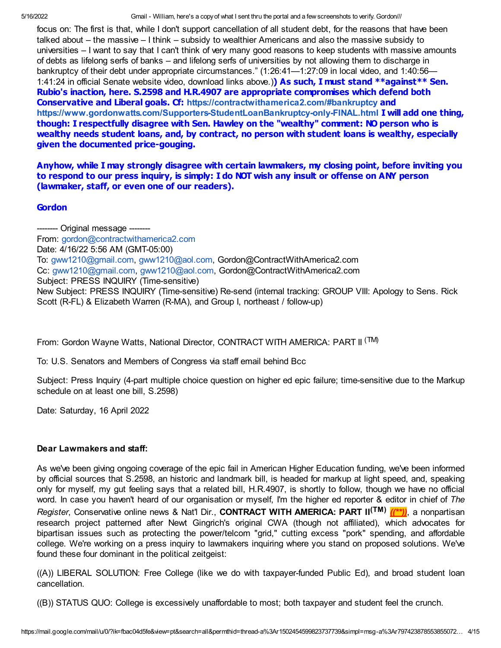focus on: The first is that, while I don't support cancellation of all student debt, for the reasons that have been talked about – the massive – I think – subsidy to wealthier Americans and also the massive subsidy to universities – I want to say that I can't think of very many good reasons to keep students with massive amounts of debts as lifelong serfs of banks – and lifelong serfs of universities by not allowing them to discharge in bankruptcy of their debt under appropriate circumstances." (1:26:41—1:27:09 in local video, and 1:40:56— 1:41:24 in official Senate website video, download links above.) As such, I must stand \*\*against\*\* Sen. Rubio's inaction, here. S.2598 and H.R.4907 are appropriate compromises which defend both Conservative and Liberal goals. Cf: <https://contractwithamerica2.com/#bankruptcy> and <https://www.gordonwatts.com/Supporters-StudentLoanBankruptcy-only-FINAL.html> I will add one thing, though: I respectfully disagree with Sen. Hawley on the "wealthy" comment: NO person who is wealthy needs student loans, and, by contract, no person with student loans is wealthy, especially given the documented price-gouging.

Anyhow, while I may strongly disagree with certain lawmakers, my closing point, before inviting you to respond to our press inquiry, is simply: I do NOT wish any insult or offense on ANY person (lawmaker, staff, or even one of our readers).

## **Gordon**

-------- Original message -------- From: [gordon@contractwithamerica2.com](mailto:gordon@contractwithamerica2.com) Date: 4/16/22 5:56 AM (GMT-05:00) To: [gww1210@gmail.com,](mailto:gww1210@gmail.com) [gww1210@aol.com,](mailto:gww1210@aol.com) Gordon@ContractWithAmerica2.com Cc: [gww1210@gmail.com](mailto:gww1210@gmail.com), [gww1210@aol.com](mailto:gww1210@aol.com), Gordon@ContractWithAmerica2.com Subject: PRESS INQUIRY (Time-sensitive) New Subject: PRESS INQUIRY (Time-sensitive) Re-send (internal tracking: GROUP VIII: Apology to Sens. Rick Scott (R-FL) & Elizabeth Warren (R-MA), and Group I, northeast / follow-up)

From: Gordon Wayne Watts, National Director, CONTRACT WITH AMERICA: PART II <sup>(TM)</sup>

To: U.S. Senators and Members of Congress via staff email behind Bcc

Subject: Press Inquiry (4-part multiple choice question on higher ed epic failure; time-sensitive due to the Markup schedule on at least one bill, S.2598)

Date: Saturday, 16 April 2022

## Dear Lawmakers and staff:

As we've been giving ongoing coverage of the epic fail in American Higher Education funding, we've been informed by official sources that S.2598, an historic and landmark bill, is headed for markup at light speed, and, speaking only for myself, my gut feeling says that a related bill, H.R.4907, is shortly to follow, though we have no official word. In case you haven't heard of our organisation or myself, I'm the higher ed reporter & editor in chief of The Register, Conservative online news & Nat'l Dir., CONTRACT WITH AMERICA: PART II<sup>(TM)</sup> ((\*\*)), a nonpartisan research project patterned after Newt Gingrich's original CWA (though not affiliated), which advocates for bipartisan issues such as protecting the power/telcom "grid," cutting excess "pork" spending, and affordable college. We're working on a press inquiry to lawmakers inquiring where you stand on proposed solutions. We've found these four dominant in the political zeitgeist:

((A)) LIBERAL SOLUTION: Free College (like we do with taxpayer-funded Public Ed), and broad student loan cancellation.

((B)) STATUS QUO: College is excessively unaffordable to most; both taxpayer and student feel the crunch.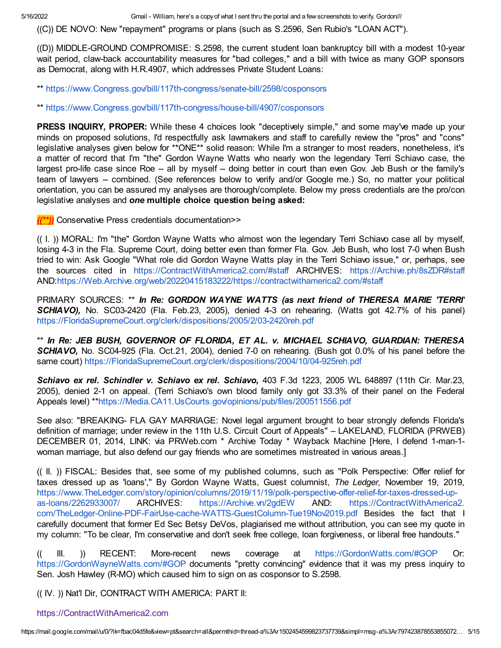((C)) DE NOVO: New "repayment" programs or plans (such as S.2596, Sen Rubio's "LOAN ACT").

((D)) MIDDLE-GROUND COMPROMISE: S.2598, the current student loan bankruptcy bill with a modest 10-year wait period, claw-back accountability measures for "bad colleges," and a bill with twice as many GOP sponsors as Democrat, along with H.R.4907, which addresses Private Student Loans:

\*\* [https://www.Congress.gov/bill/117th-congress/senate-bill/2598/cosponsors](https://www.congress.gov/bill/117th-congress/senate-bill/2598/cosponsors)

\*\* [https://www.Congress.gov/bill/117th-congress/house-bill/4907/cosponsors](https://www.congress.gov/bill/117th-congress/house-bill/4907/cosponsors)

**PRESS INQUIRY, PROPER:** While these 4 choices look "deceptively simple," and some may've made up your minds on proposed solutions, I'd respectfully ask lawmakers and staff to carefully review the "pros" and "cons" legislative analyses given below for \*\*ONE\*\* solid reason: While I'm a stranger to most readers, nonetheless, it's a matter of record that I'm "the" Gordon Wayne Watts who nearly won the legendary Terri Schiavo case, the largest pro-life case since Roe -- all by myself -- doing better in court than even Gov. Jeb Bush or the family's team of lawyers -- combined. (See references below to verify and/or Google me.) So, no matter your political orientation, you can be assured my analyses are thorough/complete. Below my press credentials are the pro/con legislative analyses and one multiple choice question being asked:

 $((*)$ ) Conservative Press credentials documentation>>

(( I. )) MORAL: I'm "the" Gordon Wayne Watts who almost won the legendary Terri Schiavo case all by myself, losing 4-3 in the Fla. Supreme Court, doing better even than former Fla. Gov. Jeb Bush, who lost 7-0 when Bush tried to win: Ask Google "What role did Gordon Wayne Watts play in the Terri Schiavo issue," or, perhaps, see the sources cited in [https://ContractWithAmerica2.com/#staff](https://contractwithamerica2.com/#staff) ARCHIVES: [https://Archive.ph/8sZDR#staff](https://archive.ph/8sZDR#staff) AND:[https://Web.Archive.org/web/20220415183222/https://contractwithamerica2.com/#staff](https://web.archive.org/web/20220415183222/https://contractwithamerica2.com/#staff)

PRIMARY SOURCES: \*\* In Re: GORDON WAYNE WATTS (as next friend of THERESA MARIE 'TERRI' SCHIAVO), No. SC03-2420 (Fla. Feb.23, 2005), denied 4-3 on rehearing. (Watts got 42.7% of his panel) [https://FloridaSupremeCourt.org/clerk/dispositions/2005/2/03-2420reh.pdf](https://floridasupremecourt.org/clerk/dispositions/2005/2/03-2420reh.pdf)

\*\* In Re: JEB BUSH, GOVERNOR OF FLORIDA, ET AL. v. MICHAEL SCHIAVO, GUARDIAN: THERESA SCHIAVO, No. SC04-925 (Fla. Oct.21, 2004), denied 7-0 on rehearing. (Bush got 0.0% of his panel before the same court) [https://FloridaSupremeCourt.org/clerk/dispositions/2004/10/04-925reh.pdf](https://floridasupremecourt.org/clerk/dispositions/2004/10/04-925reh.pdf)

Schiavo ex rel. Schindler v. Schiavo ex rel. Schiavo, 403 F.3d 1223, 2005 WL 648897 (11th Cir. Mar.23, 2005), denied 2-1 on appeal. (Terri Schiavo's own blood family only got 33.3% of their panel on the Federal Appeals level) \*[\\*https://Media.CA11.UsCourts.gov/opinions/pub/files/200511556.pdf](https://media.ca11.uscourts.gov/opinions/pub/files/200511556.pdf)

See also: "BREAKING- FLA GAY MARRIAGE: Novel legal argument brought to bear strongly defends Florida's definition of marriage; under review in the 11th U.S. Circuit Court of Appeals" – LAKELAND, FLORIDA (PRWEB) DECEMBER 01, 2014, LINK: via PRWeb.com \* Archive Today \* Wayback Machine [Here, I defend 1-man-1 woman marriage, but also defend our gay friends who are sometimes mistreated in various areas.]

(( II. )) FISCAL: Besides that, see some of my published columns, such as "Polk Perspective: Offer relief for taxes dressed up as 'loans'," By Gordon Wayne Watts, Guest columnist, The Ledger, November 19, 2019, [https://www.TheLedger.com/story/opinion/columns/2019/11/19/polk-perspective-offer-relief-for-taxes-dressed-up](https://www.theledger.com/story/opinion/columns/2019/11/19/polk-perspective-offer-relief-for-taxes-dressed-up-as-loans/2262933007/)as-loans/2262933007/ ARCHIVES: [https://Archive.vn/2gdEW](https://archive.vn/2gdEW) AND: https://ContractWithAmerica2. [com/TheLedger-Online-PDF-FairUse-cache-WATTS-GuestColumn-Tue19Nov2019.pdf](https://contractwithamerica2.com/TheLedger-Online-PDF-FairUse-cache-WATTS-GuestColumn-Tue19Nov2019.pdf) Besides the fact that I carefully document that former Ed Sec Betsy DeVos, plagiarised me without attribution, you can see my quote in my column: "To be clear, I'm conservative and don't seek free college, loan forgiveness, or liberal free handouts."

(( III. )) RECENT: More-recent news coverage at [https://GordonWatts.com/#GOP](https://gordonwatts.com/#GOP) Or: [https://GordonWayneWatts.com/#GOP](https://gordonwaynewatts.com/#GOP) documents "pretty convincing" evidence that it was my press inquiry to Sen. Josh Hawley (R-MO) which caused him to sign on as cosponsor to S.2598.

(( IV. )) Nat'l Dir, CONTRACT WITH AMERICA: PART II:

[https://ContractWithAmerica2.com](https://contractwithamerica2.com/)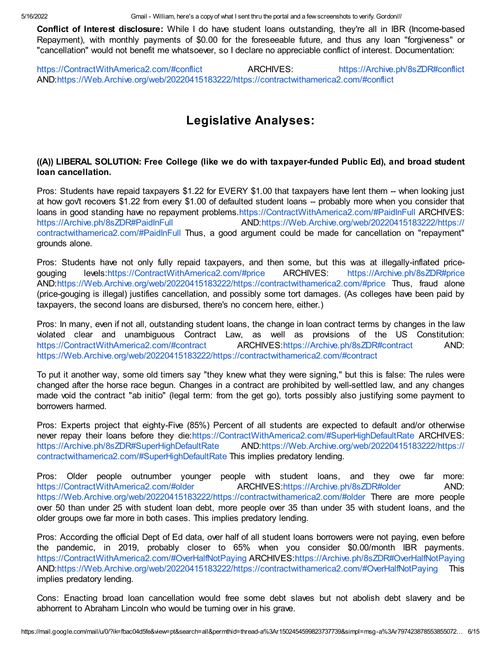Conflict of Interest disclosure: While I do have student loans outstanding, they're all in IBR (Income-based Repayment), with monthly payments of \$0.00 for the foreseeable future, and thus any loan "forgiveness" or "cancellation" would not benefit me whatsoever, so I declare no appreciable conflict of interest. Documentation:

[https://ContractWithAmerica2.com/#conflict](https://contractwithamerica2.com/#conflict) **ARCHIVES:** [https://Archive.ph/8sZDR#conflict](https://archive.ph/8sZDR#conflict) AND:[https://Web.Archive.org/web/20220415183222/https://contractwithamerica2.com/#conflict](https://web.archive.org/web/20220415183222/https://contractwithamerica2.com/#conflict)

# Legislative Analyses:

## ((A)) LIBERAL SOLUTION: Free College (like we do with taxpayer-funded Public Ed), and broad student loan cancellation.

Pros: Students have repaid taxpayers \$1.22 for EVERY \$1.00 that taxpayers have lent them -- when looking just at how gov't recovers \$1.22 from every \$1.00 of defaulted student loans -- probably more when you consider that loans in good standing have no repayment problems[.https://ContractWithAmerica2.com/#PaidInFull](https://contractwithamerica2.com/#PaidInFull) ARCHIVES: [https://Archive.ph/8sZDR#PaidInFull](https://archive.ph/8sZDR#PaidInFull) [AND:https://Web.Archive.org/web/20220415183222/https://](https://web.archive.org/web/20220415183222/https://contractwithamerica2.com/#PaidInFull) contractwithamerica2.com/#PaidInFull Thus, a good argument could be made for cancellation on "repayment" grounds alone.

Pros: Students have not only fully repaid taxpayers, and then some, but this was at illegally-inflated pricegouging levels:[https://ContractWithAmerica2.com/#price](https://contractwithamerica2.com/#price) ARCHIVES: [https://Archive.ph/8sZDR#price](https://archive.ph/8sZDR#price) AND:[https://Web.Archive.org/web/20220415183222/https://contractwithamerica2.com/#price](https://web.archive.org/web/20220415183222/https://contractwithamerica2.com/#price) Thus, fraud alone (price-gouging is illegal) justifies cancellation, and possibly some tort damages. (As colleges have been paid by taxpayers, the second loans are disbursed, there's no concern here, either.)

Pros: In many, even if not all, outstanding student loans, the change in loan contract terms by changes in the law violated clear and unambiguous Contract Law, as well as provisions of the US Constitution: [https://ContractWithAmerica2.com/#contract](https://contractwithamerica2.com/#contract) ARCHIVES:[https://Archive.ph/8sZDR#contract](https://archive.ph/8sZDR#contract) AND: [https://Web.Archive.org/web/20220415183222/https://contractwithamerica2.com/#contract](https://web.archive.org/web/20220415183222/https://contractwithamerica2.com/#contract)

To put it another way, some old timers say "they knew what they were signing," but this is false: The rules were changed after the horse race begun. Changes in a contract are prohibited by well-settled law, and any changes made void the contract "ab initio" (legal term: from the get go), torts possibly also justifying some payment to borrowers harmed.

Pros: Experts project that eighty-Five (85%) Percent of all students are expected to default and/or otherwise never repay their loans before they die:[https://ContractWithAmerica2.com/#SuperHighDefaultRate](https://contractwithamerica2.com/#SuperHighDefaultRate) ARCHIVES: [https://Archive.ph/8sZDR#SuperHighDefaultRate](https://archive.ph/8sZDR#SuperHighDefaultRate) [AND:https://Web.Archive.org/web/20220415183222/https://](https://web.archive.org/web/20220415183222/https://contractwithamerica2.com/#SuperHighDefaultRate) contractwithamerica2.com/#SuperHighDefaultRate This implies predatory lending.

Pros: Older people outnumber younger people with student loans, and they owe far more: [https://ContractWithAmerica2.com/#older](https://contractwithamerica2.com/#older) ARCHIVES:[https://Archive.ph/8sZDR#older](https://archive.ph/8sZDR#older) AND: [https://Web.Archive.org/web/20220415183222/https://contractwithamerica2.com/#older](https://web.archive.org/web/20220415183222/https://contractwithamerica2.com/#older) There are more people over 50 than under 25 with student loan debt, more people over 35 than under 35 with student loans, and the older groups owe far more in both cases. This implies predatory lending.

Pros: According the official Dept of Ed data, over half of all student loans borrowers were not paying, even before the pandemic, in 2019, probably closer to 65% when you consider \$0.00/month IBR payments. [https://ContractWithAmerica2.com/#OverHalfNotPaying](https://contractwithamerica2.com/#OverHalfNotPaying) ARCHIVES:[https://Archive.ph/8sZDR#OverHalfNotPaying](https://archive.ph/8sZDR#OverHalfNotPaying) AND:[https://Web.Archive.org/web/20220415183222/https://contractwithamerica2.com/#OverHalfNotPaying](https://web.archive.org/web/20220415183222/https://contractwithamerica2.com/#OverHalfNotPaying) This implies predatory lending.

Cons: Enacting broad loan cancellation would free some debt slaves but not abolish debt slavery and be abhorrent to Abraham Lincoln who would be turning over in his grave.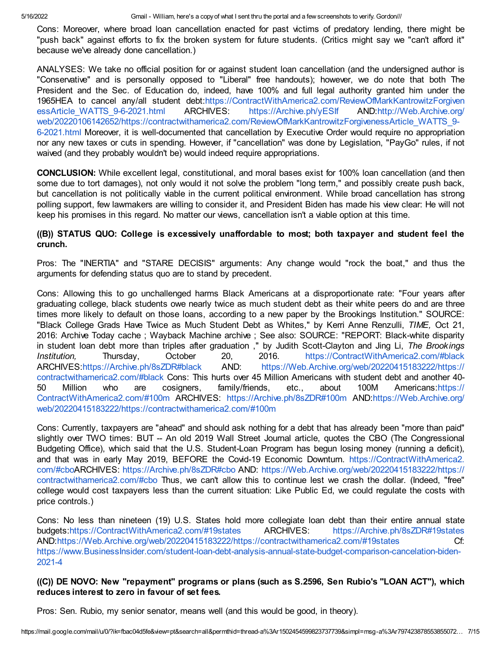Cons: Moreover, where broad loan cancellation enacted for past victims of predatory lending, there might be "push back" against efforts to fix the broken system for future students. (Critics might say we "can't afford it" because we've already done cancellation.)

ANALYSES: We take no official position for or against student loan cancellation (and the undersigned author is "Conservative" and is personally opposed to "Liberal" free handouts); however, we do note that both The President and the Sec. of Education do, indeed, have 100% and full legal authority granted him under the 1965HEA to cancel any/all student [debt:https://ContractWithAmerica2.com/ReviewOfMarkKantrowitzForgiven](https://contractwithamerica2.com/ReviewOfMarkKantrowitzForgivenessArticle_WATTS_9-6-2021.html) essArticle\_WATTS\_9-6-2021.html ARCHIVES: [https://Archive.ph/yESIf](https://archive.ph/yESIf) AND:http://Web.Archive.org/ [web/20220106142652/https://contractwithamerica2.com/ReviewOfMarkKantrowitzForgivenessArticle\\_WATTS\\_9-](http://web.archive.org/web/20220106142652/https://contractwithamerica2.com/ReviewOfMarkKantrowitzForgivenessArticle_WATTS_9-6-2021.html) 6-2021.html Moreover, it is well-documented that cancellation by Executive Order would require no appropriation nor any new taxes or cuts in spending. However, if "cancellation" was done by Legislation, "PayGo" rules, if not waived (and they probably wouldn't be) would indeed require appropriations.

CONCLUSION: While excellent legal, constitutional, and moral bases exist for 100% loan cancellation (and then some due to tort damages), not only would it not solve the problem "long term," and possibly create push back, but cancellation is not politically viable in the current political environment. While broad cancellation has strong polling support, few lawmakers are willing to consider it, and President Biden has made his view clear: He will not keep his promises in this regard. No matter our views, cancellation isn't a viable option at this time.

## ((B)) STATUS QUO: College is excessively unaffordable to most; both taxpayer and student feel the crunch.

Pros: The "INERTIA" and "STARE DECISIS" arguments: Any change would "rock the boat," and thus the arguments for defending status quo are to stand by precedent.

Cons: Allowing this to go unchallenged harms Black Americans at a disproportionate rate: "Four years after graduating college, black students owe nearly twice as much student debt as their white peers do and are three times more likely to default on those loans, according to a new paper by the Brookings Institution." SOURCE: "Black College Grads Have Twice as Much Student Debt as Whites," by Kerri Anne Renzulli, TIME, Oct 21, 2016: Archive Today cache ; Wayback Machine archive ; See also: SOURCE: "REPORT: Black-white disparity in student loan debt more than triples after graduation," by Judith Scott-Clayton and Jing Li, The Brookings Institution, Thursday, October 20, 2016. [https://ContractWithAmerica2.com/#black](https://contractwithamerica2.com/#black) ARCHIVES:[https://Archive.ph/8sZDR#black](https://archive.ph/8sZDR#black) AND: [https://Web.Archive.org/web/20220415183222/https://](https://web.archive.org/web/20220415183222/https://contractwithamerica2.com/#black) contractwithamerica2.com/#black Cons: This hurts over 45 Million Americans with student debt and another 40- 50 Million who are cosigners, family/friends, etc., about 100M Americans:https:// [ContractWithAmerica2.com/#100m](https://contractwithamerica2.com/#100m) ARCHIVES: [https://Archive.ph/8sZDR#100m](https://archive.ph/8sZDR#100m) AND:https://Web.Archive.org/ [web/20220415183222/https://contractwithamerica2.com/#100m](https://web.archive.org/web/20220415183222/https://contractwithamerica2.com/#100m)

Cons: Currently, taxpayers are "ahead" and should ask nothing for a debt that has already been "more than paid" slightly over TWO times: BUT -- An old 2019 Wall Street Journal article, quotes the CBO (The Congressional Budgeting Office), which said that the U.S. Student-Loan Program has begun losing money (running a deficit), and that was in early May 2019, BEFORE the Covid-19 Economic Downturn. https://ContractWithAmerica2. com/#cboARCHIVES: [https://Archive.ph/8sZDR#cbo](https://archive.ph/8sZDR#cbo) AND: [https://Web.Archive.org/web/20220415183222/https://](https://contractwithamerica2.com/#cbo) contractwithamerica2.com/#cbo Thus, we can't allow this to continue lest we crash the dollar. (Indeed, "free" college would cost taxpayers less than the current situation: Like Public Ed, we could regulate the costs with price controls.)

Cons: No less than nineteen (19) U.S. States hold more collegiate loan debt than their entire annual state budgets:[https://ContractWithAmerica2.com/#19states](https://contractwithamerica2.com/#19states) ARCHIVES: [https://Archive.ph/8sZDR#19states](https://archive.ph/8sZDR#19states) AND:[https://Web.Archive.org/web/20220415183222/https://contractwithamerica2.com/#19states](https://web.archive.org/web/20220415183222/https://contractwithamerica2.com/#19states) Cf: [https://www.BusinessInsider.com/student-loan-debt-analysis-annual-state-budget-comparison-cancelation-biden-](https://www.businessinsider.com/student-loan-debt-analysis-annual-state-budget-comparison-cancelation-biden-2021-4)2021-4

## ((C)) DE NOVO: New "repayment" programs or plans (such as S.2596, Sen Rubio's "LOAN ACT"), which reduces interest to zero in favour of set fees.

Pros: Sen. Rubio, my senior senator, means well (and this would be good, in theory).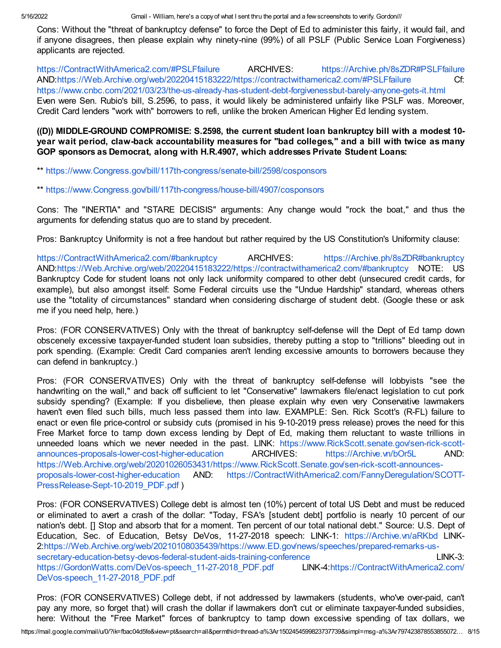Cons: Without the "threat of bankruptcy defense" to force the Dept of Ed to administer this fairly, it would fail, and if anyone disagrees, then please explain why ninety-nine (99%) of all PSLF (Public Service Loan Forgiveness) applicants are rejected.

[https://ContractWithAmerica2.com/#PSLFfailure](https://contractwithamerica2.com/#PSLFfailure) ARCHIVES: [https://Archive.ph/8sZDR#PSLFfailure](https://archive.ph/8sZDR#PSLFfailure) AND:[https://Web.Archive.org/web/20220415183222/https://contractwithamerica2.com/#PSLFfailure](https://web.archive.org/web/20220415183222/https://contractwithamerica2.com/#PSLFfailure) Cf: <https://www.cnbc.com/2021/03/23/the-us-already-has-student-debt-forgivenessbut-barely-anyone-gets-it.html> Even were Sen. Rubio's bill, S.2596, to pass, it would likely be administered unfairly like PSLF was. Moreover, Credit Card lenders "work with" borrowers to refi, unlike the broken American Higher Ed lending system.

## ((D)) MIDDLE-GROUND COMPROMISE: S.2598, the current student loan bankruptcy bill with a modest 10 year wait period, claw-back accountability measures for "bad colleges," and a bill with twice as many GOP sponsors as Democrat, along with H.R.4907, which addresses Private Student Loans:

\*\* [https://www.Congress.gov/bill/117th-congress/senate-bill/2598/cosponsors](https://www.congress.gov/bill/117th-congress/senate-bill/2598/cosponsors)

#### \*\* [https://www.Congress.gov/bill/117th-congress/house-bill/4907/cosponsors](https://www.congress.gov/bill/117th-congress/house-bill/4907/cosponsors)

Cons: The "INERTIA" and "STARE DECISIS" arguments: Any change would "rock the boat," and thus the arguments for defending status quo are to stand by precedent.

Pros: Bankruptcy Uniformity is not a free handout but rather required by the US Constitution's Uniformity clause:

[https://ContractWithAmerica2.com/#bankruptcy](https://contractwithamerica2.com/#bankruptcy) ARCHIVES: [https://Archive.ph/8sZDR#bankruptcy](https://archive.ph/8sZDR#bankruptcy) AND:[https://Web.Archive.org/web/20220415183222/https://contractwithamerica2.com/#bankruptcy](https://web.archive.org/web/20220415183222/https://contractwithamerica2.com/#bankruptcy) NOTE: US Bankruptcy Code for student loans not only lack uniformity compared to other debt (unsecured credit cards, for example), but also amongst itself: Some Federal circuits use the "Undue Hardship" standard, whereas others use the "totality of circumstances" standard when considering discharge of student debt. (Google these or ask me if you need help, here.)

Pros: (FOR CONSERVATIVES) Only with the threat of bankruptcy self-defense will the Dept of Ed tamp down obscenely excessive taxpayer-funded student loan subsidies, thereby putting a stop to "trillions" bleeding out in pork spending. (Example: Credit Card companies aren't lending excessive amounts to borrowers because they can defend in bankruptcy.)

Pros: (FOR CONSERVATIVES) Only with the threat of bankruptcy self-defense will lobbyists "see the handwriting on the wall," and back off sufficient to let "Conservative" lawmakers file/enact legislation to cut pork subsidy spending? (Example: If you disbelieve, then please explain why even very Conservative lawmakers haven't even filed such bills, much less passed them into law. EXAMPLE: Sen. Rick Scott's (R-FL) failure to enact or even file price-control or subsidy cuts (promised in his 9-10-2019 press release) proves the need for this Free Market force to tamp down excess lending by Dept of Ed, making them reluctant to waste trillions in unneeded loans which we never needed in the past. LINK: https://www.RickScott.senate.gov/sen-rick-scott[announces-proposals-lower-cost-higher-education](https://www.rickscott.senate.gov/sen-rick-scott-announces-proposals-lower-cost-higher-education) ARCHIVES: [https://Archive.vn/bOr5L](https://archive.vn/bOr5L) AND: [https://Web.Archive.org/web/20201026053431/https://www.RickScott.Senate.gov/sen-rick-scott-announces](https://web.archive.org/web/20201026053431/https://www.RickScott.Senate.gov/sen-rick-scott-announces-proposals-lower-cost-higher-education)proposals-lower-cost-higher-education AND: [https://ContractWithAmerica2.com/FannyDeregulation/SCOTT-](https://contractwithamerica2.com/FannyDeregulation/SCOTT-PressRelease-Sept-10-2019_PDF.pdf)PressRelease-Sept-10-2019\_PDF.pdf )

Pros: (FOR CONSERVATIVES) College debt is almost ten (10%) percent of total US Debt and must be reduced or eliminated to avert a crash of the dollar: "Today, FSA's [student debt] portfolio is nearly 10 percent of our nation's debt. [] Stop and absorb that for a moment. Ten percent of our total national debt." Source: U.S. Dept of Education, Sec. of Education, Betsy DeVos, 11-27-2018 speech: LINK-1: [https://Archive.vn/aRKbd](https://archive.vn/aRKbd) LINK-[2:https://Web.Archive.org/web/20210108035439/https://www.ED.gov/news/speeches/prepared-remarks-us](https://web.archive.org/web/20210108035439/https://www.ED.gov/news/speeches/prepared-remarks-us-secretary-education-betsy-devos-federal-student-aids-training-conference)secretary-education-betsy-devos-federal-student-aids-training-conference LINK-3: [https://GordonWatts.com/DeVos-speech\\_11-27-2018\\_PDF.pdf](https://contractwithamerica2.com/DeVos-speech_11-27-2018_PDF.pdf) LINK-4:https://ContractWithAmerica2.com/ DeVos-speech\_11-27-2018\_PDF.pdf

Pros: (FOR CONSERVATIVES) College debt, if not addressed by lawmakers (students, who've over-paid, can't pay any more, so forget that) will crash the dollar if lawmakers don't cut or eliminate taxpayer-funded subsidies, here: Without the "Free Market" forces of bankruptcy to tamp down excessive spending of tax dollars, we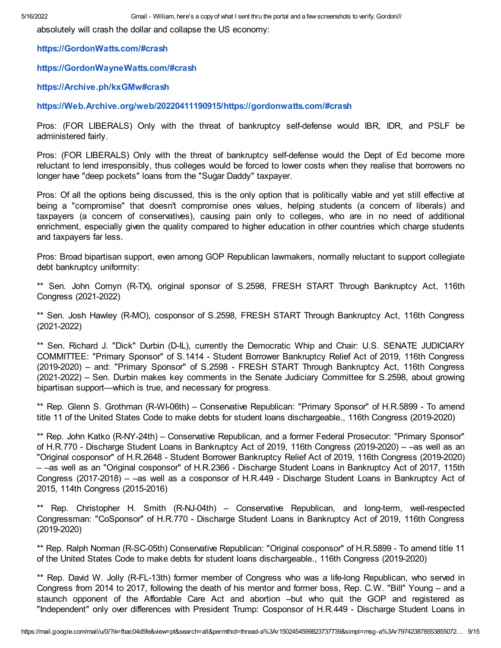absolutely will crash the dollar and collapse the US economy:

[https://GordonWatts.com/#crash](https://gordonwatts.com/#crash)

[https://GordonWayneWatts.com/#crash](https://gordonwaynewatts.com/#crash)

[https://Archive.ph/kxGMw#crash](https://archive.ph/kxGMw#crash)

[https://Web.Archive.org/web/20220411190915/https://gordonwatts.com/#crash](https://web.archive.org/web/20220411190915/https://gordonwatts.com/#crash)

Pros: (FOR LIBERALS) Only with the threat of bankruptcy self-defense would IBR, IDR, and PSLF be administered fairly.

Pros: (FOR LIBERALS) Only with the threat of bankruptcy self-defense would the Dept of Ed become more reluctant to lend irresponsibly, thus colleges would be forced to lower costs when they realise that borrowers no longer have "deep pockets" loans from the "Sugar Daddy" taxpayer.

Pros: Of all the options being discussed, this is the only option that is politically viable and yet still effective at being a "compromise" that doesn't compromise ones values, helping students (a concern of liberals) and taxpayers (a concern of conservatives), causing pain only to colleges, who are in no need of additional enrichment, especially given the quality compared to higher education in other countries which charge students and taxpayers far less.

Pros: Broad bipartisan support, even among GOP Republican lawmakers, normally reluctant to support collegiate debt bankruptcy uniformity:

\*\* Sen. John Cornyn (R-TX), original sponsor of S.2598, FRESH START Through Bankruptcy Act, 116th Congress (2021-2022)

\*\* Sen. Josh Hawley (R-MO), cosponsor of S.2598, FRESH START Through Bankruptcy Act, 116th Congress (2021-2022)

\*\* Sen. Richard J. "Dick" Durbin (D-IL), currently the Democratic Whip and Chair: U.S. SENATE JUDICIARY COMMITTEE: "Primary Sponsor" of S.1414 - Student Borrower Bankruptcy Relief Act of 2019, 116th Congress (2019-2020) – and: "Primary Sponsor" of S.2598 - FRESH START Through Bankruptcy Act, 116th Congress (2021-2022) – Sen. Durbin makes key comments in the Senate Judiciary Committee for S.2598, about growing bipartisan support—which is true, and necessary for progress.

\*\* Rep. Glenn S. Grothman (R-WI-06th) – Conservative Republican: "Primary Sponsor" of H.R.5899 - To amend title 11 of the United States Code to make debts for student loans dischargeable., 116th Congress (2019-2020)

\*\* Rep. John Katko (R-NY-24th) – Conservative Republican, and a former Federal Prosecutor: "Primary Sponsor" of H.R.770 - Discharge Student Loans in Bankruptcy Act of 2019, 116th Congress (2019-2020) – –as well as an "Original cosponsor" of H.R.2648 - Student Borrower Bankruptcy Relief Act of 2019, 116th Congress (2019-2020) – –as well as an "Original cosponsor" of H.R.2366 - Discharge Student Loans in Bankruptcy Act of 2017, 115th Congress (2017-2018) – –as well as a cosponsor of H.R.449 - Discharge Student Loans in Bankruptcy Act of 2015, 114th Congress (2015-2016)

\*\* Rep. Christopher H. Smith (R-NJ-04th) – Conservative Republican, and long-term, well-respected Congressman: "CoSponsor" of H.R.770 - Discharge Student Loans in Bankruptcy Act of 2019, 116th Congress (2019-2020)

\*\* Rep. Ralph Norman (R-SC-05th) Conservative Republican: "Original cosponsor" of H.R.5899 - To amend title 11 of the United States Code to make debts for student loans dischargeable., 116th Congress (2019-2020)

\*\* Rep. David W. Jolly (R-FL-13th) former member of Congress who was a life-long Republican, who served in Congress from 2014 to 2017, following the death of his mentor and former boss, Rep. C.W. "Bill" Young – and a staunch opponent of the Affordable Care Act and abortion –but who quit the GOP and registered as "Independent" only over differences with President Trump: Cosponsor of H.R.449 - Discharge Student Loans in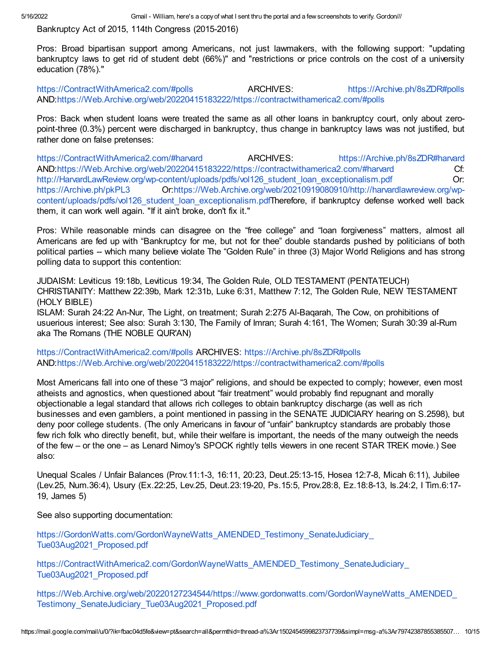Bankruptcy Act of 2015, 114th Congress (2015-2016)

Pros: Broad bipartisan support among Americans, not just lawmakers, with the following support: "updating bankruptcy laws to get rid of student debt (66%)" and "restrictions or price controls on the cost of a university education (78%)."

[https://ContractWithAmerica2.com/#polls](https://contractwithamerica2.com/#polls) ARCHIVES: [https://Archive.ph/8sZDR#polls](https://archive.ph/8sZDR#polls) AND:[https://Web.Archive.org/web/20220415183222/https://contractwithamerica2.com/#polls](https://web.archive.org/web/20220415183222/https://contractwithamerica2.com/#polls)

Pros: Back when student loans were treated the same as all other loans in bankruptcy court, only about zeropoint-three (0.3%) percent were discharged in bankruptcy, thus change in bankruptcy laws was not justified, but rather done on false pretenses:

[https://ContractWithAmerica2.com/#harvard](https://contractwithamerica2.com/#harvard) **ARCHIVES:** [https://Archive.ph/8sZDR#harvard](https://archive.ph/8sZDR#harvard) AND:[https://Web.Archive.org/web/20220415183222/https://contractwithamerica2.com/#harvard](https://web.archive.org/web/20220415183222/https://contractwithamerica2.com/#harvard) Cf: [http://HarvardLawReview.org/wp-content/uploads/pdfs/vol126\\_student\\_loan\\_exceptionalism.pdf](http://harvardlawreview.org/wp-content/uploads/pdfs/vol126_student_loan_exceptionalism.pdf) Or: [https://Archive.ph/pkPL3](https://archive.ph/pkPL3) [Or:https://Web.Archive.org/web/20210919080910/http://harvardlawreview.org/wp](https://web.archive.org/web/20210919080910/http://harvardlawreview.org/wp-content/uploads/pdfs/vol126_student_loan_exceptionalism.pdf)content/uploads/pdfs/vol126 student loan exceptionalism.pdfTherefore, if bankruptcy defense worked well back them, it can work well again. "If it ain't broke, don't fix it."

Pros: While reasonable minds can disagree on the "free college" and "loan forgiveness" matters, almost all Americans are fed up with "Bankruptcy for me, but not for thee" double standards pushed by politicians of both political parties -- which many believe violate The "Golden Rule" in three (3) Major World Religions and has strong polling data to support this contention:

JUDAISM: Leviticus 19:18b, Leviticus 19:34, The Golden Rule, OLD TESTAMENT (PENTATEUCH) CHRISTIANITY: Matthew 22:39b, Mark 12:31b, Luke 6:31, Matthew 7:12, The Golden Rule, NEW TESTAMENT (HOLY BIBLE)

ISLAM: Surah 24:22 An-Nur, The Light, on treatment; Surah 2:275 Al-Baqarah, The Cow, on prohibitions of usuerious interest; See also: Surah 3:130, The Family of Imran; Surah 4:161, The Women; Surah 30:39 al-Rum aka The Romans (THE NOBLE QUR'AN)

[https://ContractWithAmerica2.com/#polls](https://contractwithamerica2.com/#polls) ARCHIVES: [https://Archive.ph/8sZDR#polls](https://archive.ph/8sZDR#polls) AND:[https://Web.Archive.org/web/20220415183222/https://contractwithamerica2.com/#polls](https://web.archive.org/web/20220415183222/https://contractwithamerica2.com/#polls)

Most Americans fall into one of these "3 major" religions, and should be expected to comply; however, even most atheists and agnostics, when questioned about "fair treatment" would probably find repugnant and morally objectionable a legal standard that allows rich colleges to obtain bankruptcy discharge (as well as rich businesses and even gamblers, a point mentioned in passing in the SENATE JUDICIARY hearing on S.2598), but deny poor college students. (The only Americans in favour of "unfair" bankruptcy standards are probably those few rich folk who directly benefit, but, while their welfare is important, the needs of the many outweigh the needs of the few – or the one – as Lenard Nimoy's SPOCK rightly tells viewers in one recent STAR TREK movie.) See also:

Unequal Scales / Unfair Balances (Prov.11:1-3, 16:11, 20:23, Deut.25:13-15, Hosea 12:7-8, Micah 6:11), Jubilee (Lev.25, Num.36:4), Usury (Ex.22:25, Lev.25, Deut.23:19-20, Ps.15:5, Prov.28:8, Ez.18:8-13, Is.24:2, I Tim.6:17- 19, James 5)

See also supporting documentation:

[https://GordonWatts.com/GordonWayneWatts\\_AMENDED\\_Testimony\\_SenateJudiciary\\_](https://gordonwatts.com/GordonWayneWatts_AMENDED_Testimony_SenateJudiciary_Tue03Aug2021_Proposed.pdf) Tue03Aug2021\_Proposed.pdf

https://ContractWithAmerica2.com/GordonWayneWatts\_AMENDED\_Testimony\_SenateJudiciary Tue03Aug2021\_Proposed.pdf

[https://Web.Archive.org/web/20220127234544/https://www.gordonwatts.com/GordonWayneWatts\\_AMENDED\\_](https://web.archive.org/web/20220127234544/https://www.gordonwatts.com/GordonWayneWatts_AMENDED_Testimony_SenateJudiciary_Tue03Aug2021_Proposed.pdf) Testimony\_SenateJudiciary\_Tue03Aug2021\_Proposed.pdf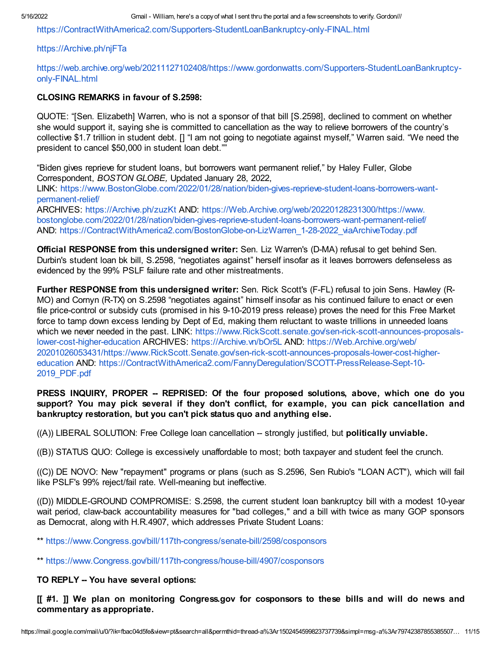[https://ContractWithAmerica2.com/Supporters-StudentLoanBankruptcy-only-FINAL.html](https://contractwithamerica2.com/Supporters-StudentLoanBankruptcy-only-FINAL.html)

#### [https://Archive.ph/njFTa](https://archive.ph/njFTa)

#### [https://web.archive.org/web/20211127102408/https://www.gordonwatts.com/Supporters-StudentLoanBankruptcy](https://web.archive.org/web/20211127102408/https://www.gordonwatts.com/Supporters-StudentLoanBankruptcy-only-FINAL.html)only-FINAL.html

#### CLOSING REMARKS in favour of S.2598:

QUOTE: "[Sen. Elizabeth] Warren, who is not a sponsor of that bill [S.2598], declined to comment on whether she would support it, saying she is committed to cancellation as the way to relieve borrowers of the country's collective \$1.7 trillion in student debt. [] "I am not going to negotiate against myself," Warren said. "We need the president to cancel \$50,000 in student loan debt.""

"Biden gives reprieve for student loans, but borrowers want permanent relief," by Haley Fuller, Globe Correspondent, BOSTON GLOBE, Updated January 28, 2022, LINK: [https://www.BostonGlobe.com/2022/01/28/nation/biden-gives-reprieve-student-loans-borrowers-want](https://www.bostonglobe.com/2022/01/28/nation/biden-gives-reprieve-student-loans-borrowers-want-permanent-relief/)permanent-relief/

ARCHIVES: [https://Archive.ph/zuzKt](https://archive.ph/zuzKt) AND: https://Web.Archive.org/web/20220128231300/https://www. [bostonglobe.com/2022/01/28/nation/biden-gives-reprieve-student-loans-borrowers-want-permanent-relief/](https://web.archive.org/web/20220128231300/https://www.bostonglobe.com/2022/01/28/nation/biden-gives-reprieve-student-loans-borrowers-want-permanent-relief/) AND: [https://ContractWithAmerica2.com/BostonGlobe-on-LizWarren\\_1-28-2022\\_viaArchiveToday.pdf](https://contractwithamerica2.com/BostonGlobe-on-LizWarren_1-28-2022_viaArchiveToday.pdf)

**Official RESPONSE from this undersigned writer:** Sen. Liz Warren's (D-MA) refusal to get behind Sen. Durbin's student loan bk bill, S.2598, "negotiates against" herself insofar as it leaves borrowers defenseless as evidenced by the 99% PSLF failure rate and other mistreatments.

Further RESPONSE from this undersigned writer: Sen. Rick Scott's (F-FL) refusal to join Sens. Hawley (R-MO) and Cornyn (R-TX) on S.2598 "negotiates against" himself insofar as his continued failure to enact or even file price-control or subsidy cuts (promised in his 9-10-2019 press release) proves the need for this Free Market force to tamp down excess lending by Dept of Ed, making them reluctant to waste trillions in unneeded loans which we never needed in the past. LINK: [https://www.RickScott.senate.gov/sen-rick-scott-announces-proposals](https://www.rickscott.senate.gov/sen-rick-scott-announces-proposals-lower-cost-higher-education)lower-cost-higher-education ARCHIVES: [https://Archive.vn/bOr5L](https://archive.vn/bOr5L) AND: https://Web.Archive.org/web/ [20201026053431/https://www.RickScott.Senate.gov/sen-rick-scott-announces-proposals-lower-cost-higher](https://web.archive.org/web/20201026053431/https://www.RickScott.Senate.gov/sen-rick-scott-announces-proposals-lower-cost-higher-education)education AND: [https://ContractWithAmerica2.com/FannyDeregulation/SCOTT-PressRelease-Sept-10-](https://contractwithamerica2.com/FannyDeregulation/SCOTT-PressRelease-Sept-10-2019_PDF.pdf) 2019\_PDF.pdf

PRESS INQUIRY, PROPER -- REPRISED: Of the four proposed solutions, above, which one do you support? You may pick several if they don't conflict, for example, you can pick cancellation and bankruptcy restoration, but you can't pick status quo and anything else.

 $((A))$  LIBERAL SOLUTION: Free College loan cancellation  $-$  strongly justified, but **politically unviable.** 

((B)) STATUS QUO: College is excessively unaffordable to most; both taxpayer and student feel the crunch.

((C)) DE NOVO: New "repayment" programs or plans (such as S.2596, Sen Rubio's "LOAN ACT"), which will fail like PSLF's 99% reject/fail rate. Well-meaning but ineffective.

((D)) MIDDLE-GROUND COMPROMISE: S.2598, the current student loan bankruptcy bill with a modest 10-year wait period, claw-back accountability measures for "bad colleges," and a bill with twice as many GOP sponsors as Democrat, along with H.R.4907, which addresses Private Student Loans:

\*\* [https://www.Congress.gov/bill/117th-congress/senate-bill/2598/cosponsors](https://www.congress.gov/bill/117th-congress/senate-bill/2598/cosponsors)

\*\* [https://www.Congress.gov/bill/117th-congress/house-bill/4907/cosponsors](https://www.congress.gov/bill/117th-congress/house-bill/4907/cosponsors)

## TO REPLY -- You have several options:

[[ #1. ]] We plan on monitoring Congress.gov for cosponsors to these bills and will do news and commentary as appropriate.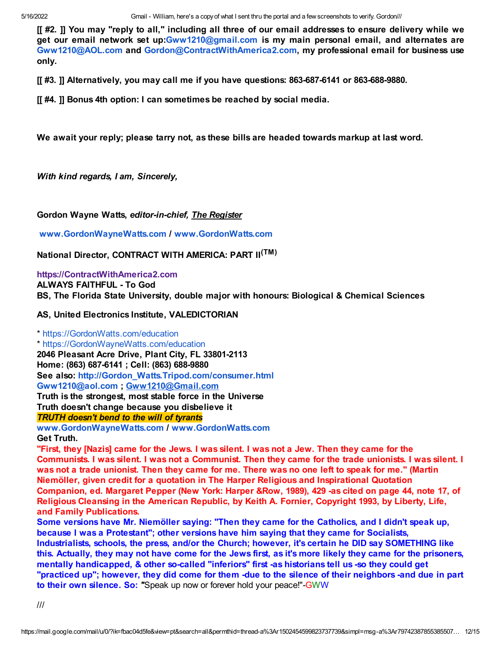[[ #2. ]] You may "reply to all," including all three of our email addresses to ensure delivery while we get our email network set up[:Gww1210@gmail.com](mailto:Gww1210@gmail.com) is my main personal email, and alternates are [Gww1210@AOL.com](mailto:Gww1210@AOL.com) and [Gordon@ContractWithAmerica2.com,](mailto:Gordon@ContractWithAmerica2.com) my professional email for business use only.

[[ #3. ]] Alternatively, you may call me if you have questions: 863-687-6141 or 863-688-9880.

[[ #4. ]] Bonus 4th option: I can sometimes be reached by social media.

We await your reply; please tarry not, as these bills are headed towards markup at last word.

With kind regards, I am, Sincerely,

Gordon Wayne Watts, editor-in-chief, The Register

[www.GordonWayneWatts.com](http://www.gordonwaynewatts.com/) / [www.GordonWatts.com](http://www.gordonwatts.com/)

National Director, CONTRACT WITH AMERICA: PART II<sup>(TM)</sup>

[https://ContractWithAmerica2.com](https://contractwithamerica2.com/)

ALWAYS FAITHFUL - To God

BS, The Florida State University, double major with honours: Biological & Chemical Sciences

AS, United Electronics Institute, VALEDICTORIAN

\* [https://GordonWatts.com/education](https://gordonwatts.com/education) \* [https://GordonWayneWatts.com/education](https://gordonwaynewatts.com/education) 2046 Pleasant Acre Drive, Plant City, FL 33801-2113 Home: (863) 687-6141 ; Cell: (863) 688-9880 See also: [http://Gordon\\_Watts.Tripod.com/consumer.html](http://gordon_watts.tripod.com/consumer.html) [Gww1210@aol.com](mailto:Gww1210@aol.com) ; [Gww1210@Gmail.com](mailto:Gww1210@Gmail.com) Truth is the strongest, most stable force in the Universe Truth doesn't change because you disbelieve it TRUTH doesn't bend to the will of tyrants

[www.GordonWayneWatts.com](http://www.gordonwaynewatts.com/) / [www.GordonWatts.com](http://www.gordonwatts.com/) Get Truth.

"First, they [Nazis] came for the Jews. I was silent. I was not a Jew. Then they came for the Communists. I was silent. I was not a Communist. Then they came for the trade unionists. I was silent. I was not a trade unionist. Then they came for me. There was no one left to speak for me." (Martin Niemöller, given credit for a quotation in The Harper Religious and Inspirational Quotation Companion, ed. Margaret Pepper (New York: Harper &Row, 1989), 429 -as cited on page 44, note 17, of Religious Cleansing in the American Republic, by Keith A. Fornier, Copyright 1993, by Liberty, Life, and Family Publications.

Some versions have Mr. Niemöller saying: "Then they came for the Catholics, and I didn't speak up, because I was a Protestant"; other versions have him saying that they came for Socialists, Industrialists, schools, the press, and/or the Church; however, it's certain he DID say SOMETHING like this. Actually, they may not have come for the Jews first, as it's more likely they came for the prisoners, mentally handicapped, & other so-called "inferiors" first -as historians tell us -so they could get "practiced up"; however, they did come for them -due to the silence of their neighbors -and due in part to their own silence. So: "Speak up now or forever hold your peace!"-GWW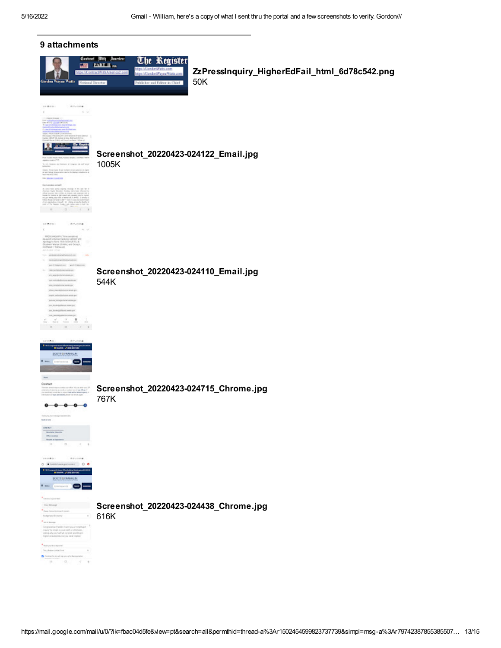| 9 attachments                                                                                                                                                                                                                                                                                                                                                                                                                                                                                                                                                                                                                                                                                                                                                                                                                                                                                                                                                                                                                |                                                                                                                                                                                                                                                                |
|------------------------------------------------------------------------------------------------------------------------------------------------------------------------------------------------------------------------------------------------------------------------------------------------------------------------------------------------------------------------------------------------------------------------------------------------------------------------------------------------------------------------------------------------------------------------------------------------------------------------------------------------------------------------------------------------------------------------------------------------------------------------------------------------------------------------------------------------------------------------------------------------------------------------------------------------------------------------------------------------------------------------------|----------------------------------------------------------------------------------------------------------------------------------------------------------------------------------------------------------------------------------------------------------------|
| $-10$<br>Gerden Wayne Watts   Kational Director                                                                                                                                                                                                                                                                                                                                                                                                                                                                                                                                                                                                                                                                                                                                                                                                                                                                                                                                                                              | <b>Centract With Jeaning</b><br>The Register<br><b>PART III.me</b><br>https://Gendon/Watts.com<br>ZzPressInquiry_HigherEdFail_html_6d78c542.png<br>tips //ContractWith America 2 cont<br>https://Gordon/MayneWatts.com<br>50K<br>Publisher and Editor-in-Chief |
| <b>COMPANY</b><br>C. With a bank<br>alle Care amanesi le sont immusi<br>Ng Kirana Mikhamilikoya<br><b>Zie Kran</b><br>a mar<br>A 1959), furnish drama (215)<br>beaux as keeps of Crawn in our and<br>Todays, from Argued Degree ends are the experimental system of the SMC and the system of the $\beta$ becomes $\beta A \ge 0.045$<br><b>THE BRAIN TOWERED</b><br>for involvement cell.<br>is note that gives operating change of the size for $\lambda$ is not be a function by the form of the form of the size of the size of the size of the size of the size of the size of the size of the size of the size of the size<br>$\qquad \qquad \Box$                                                                                                                                                                                                                                                                                                                                                                     | Screenshot_20220423-024122_Email.jpg<br>1005K                                                                                                                                                                                                                  |
| <b>Artisting</b><br>DEMPH 1<br>$\mathcal{L}_{\mathcal{R}}$ , $\mathcal{L}_{\mathcal{R}}$<br>PROVINGERY (Time canadica)<br>$\frac{1}{2}$ and $\frac{1}{2}$ in the last layer of $\frac{1}{2}$ and $\frac{1}{2}$ and $\frac{1}{2}$ and $\frac{1}{2}$ is the state of $\frac{1}{2}$ and $\frac{1}{2}$ and $\frac{1}{2}$ and $\frac{1}{2}$ and $\frac{1}{2}$ and $\frac{1}{2}$ and $\frac{1}{2}$ and $\frac{1}{2}$<br>Tom - and depression and con-<br>$n = 1$ in the spin transfer to be a set of<br>and therefore, predicipation.<br>increasements.<br>PLANDSTATIONARY<br>into restricted who we are those<br>experiencement<br>alternational selection and<br>regels, selles@echane.orgel<br>pointed formige formination pro-<br>ans, housekeeping and a series per-<br>lane, lanekedigelikung sorata per<br>curriculum telephone and<br>$\frac{1}{\sin \theta}$ $\frac{1}{\cos \theta}$ $\frac{1}{\cos \theta}$ $\frac{1}{\cos \theta}$<br>$\begin{array}{cccccccccc} \Box & \bot & \bot & \bot & \bot \end{array}$<br>■ 300 | Screenshot_20220423-024110_Email.jpg<br>544K                                                                                                                                                                                                                   |
| <b>Blue Junior</b><br>SCOTT-DEMANDIAL<br>-<br><b>Waller</b><br>Delay Expression in<br>Contact<br>.<br>The primary specialized and the state of the filters of the state of the state of the state of the state of th<br>The president of the state of the state of the filters of the state of the state of the state of the state of<br>modern or ware and subject places with thick and to<br>The turn unan resource can pres any.<br><b>Built is form</b><br>Green Corp.<br><b>Revolution Education</b><br><b>INCLUDES</b><br><b>Count of Systems</b><br>11.73.73.74.4                                                                                                                                                                                                                                                                                                                                                                                                                                                    | Screenshot_20220423-024715_Chrome.jpg<br>767K                                                                                                                                                                                                                  |
| <b>DATES</b><br>- Arvenna<br>$0$ . It beliefs to experiment $0$ . $0$<br><b>Show of History</b><br>SCOTT GERMANI IN<br>e<br><b>Quarterpoor</b><br><b>Adolesia post fall</b><br>Your Kimonger<br>Texa PellerSchool Procen-<br>further and fundamy<br><b>Services</b><br>Corporation Parkish Learn price for self-west<br>impay by email to your staff are the basis.<br>elling why on that hat not pork spending m.<br>higher at subsidies furning neuer region)<br>Redrives West Imported<br>Text photographical and<br>$\sim$<br>Destruction and suppose a factor resident<br><b>IS</b><br>$\sim$<br>$\sim 10^{-1}$<br>$\rightarrow$                                                                                                                                                                                                                                                                                                                                                                                        | Screenshot_20220423-024438_Chrome.jpg<br>616K                                                                                                                                                                                                                  |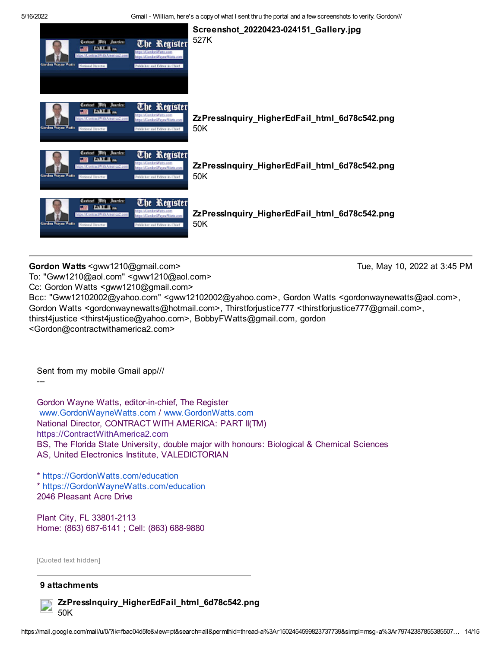

Gordon Watts <gww1210@gmail.com> Tue, May 10, 2022 at 3:45 PM

To: "Gww1210@aol.com" <gww1210@aol.com>

Cc: Gordon Watts <gww1210@gmail.com>

Bcc: "Gww12102002@yahoo.com" <gww12102002@yahoo.com>, Gordon Watts <gordonwaynewatts@aol.com>, Gordon Watts <gordonwaynewatts@hotmail.com>, Thirstforjustice777 <thirstforjustice777@gmail.com>, thirst4justice <thirst4justice@yahoo.com>, BobbyFWatts@gmail.com, gordon <Gordon@contractwithamerica2.com>

Sent from my mobile Gmail app///

Gordon Wayne Watts, editor-in-chief, The Register [www.GordonWayneWatts.com](http://www.gordonwaynewatts.com/) / [www.GordonWatts.com](http://www.gordonwatts.com/) National Director, CONTRACT WITH AMERICA: PART II(TM) [https://ContractWithAmerica2.com](https://contractwithamerica2.com/) BS, The Florida State University, double major with honours: Biological & Chemical Sciences AS, United Electronics Institute, VALEDICTORIAN

\* [https://GordonWatts.com/education](https://gordonwatts.com/education) \* [https://GordonWayneWatts.com/education](https://gordonwaynewatts.com/education) 2046 Pleasant Acre Drive

Plant City, FL 33801-2113 Home: (863) 687-6141 ; Cell: (863) 688-9880

[Quoted text hidden]

## 9 attachments



---

ZzPressInquiry\_HigherEdFail\_html\_6d78c542.png 50K